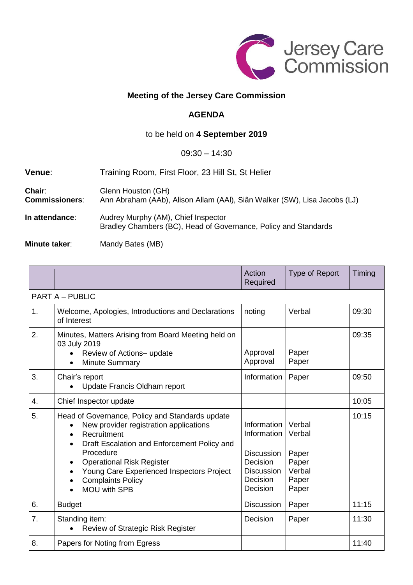

## **Meeting of the Jersey Care Commission**

## **AGENDA**

## to be held on **4 September 2019**

## 09:30 – 14:30

| <b>Venue:</b>                          | Training Room, First Floor, 23 Hill St, St Helier                                                      |  |  |
|----------------------------------------|--------------------------------------------------------------------------------------------------------|--|--|
| <b>Chair:</b><br><b>Commissioners:</b> | Glenn Houston (GH)<br>Ann Abraham (AAb), Alison Allam (AAI), Siân Walker (SW), Lisa Jacobs (LJ)        |  |  |
| In attendance:                         | Audrey Murphy (AM), Chief Inspector<br>Bradley Chambers (BC), Head of Governance, Policy and Standards |  |  |

**Minute taker:** Mandy Bates (MB)

|                        |                                                                                                                                                                                                                                                                                                          | Action<br>Required                                                                                       | Type of Report                                                 | Timing |  |  |  |
|------------------------|----------------------------------------------------------------------------------------------------------------------------------------------------------------------------------------------------------------------------------------------------------------------------------------------------------|----------------------------------------------------------------------------------------------------------|----------------------------------------------------------------|--------|--|--|--|
| <b>PART A - PUBLIC</b> |                                                                                                                                                                                                                                                                                                          |                                                                                                          |                                                                |        |  |  |  |
| 1.                     | Welcome, Apologies, Introductions and Declarations<br>of Interest                                                                                                                                                                                                                                        | noting                                                                                                   | Verbal                                                         | 09:30  |  |  |  |
| 2.                     | Minutes, Matters Arising from Board Meeting held on<br>03 July 2019<br>Review of Actions- update<br><b>Minute Summary</b>                                                                                                                                                                                | Approval<br>Approval                                                                                     | Paper<br>Paper                                                 | 09:35  |  |  |  |
| 3.                     | Chair's report<br>Update Francis Oldham report                                                                                                                                                                                                                                                           | Information                                                                                              | Paper                                                          | 09:50  |  |  |  |
| 4.                     | Chief Inspector update                                                                                                                                                                                                                                                                                   |                                                                                                          |                                                                | 10:05  |  |  |  |
| 5.                     | Head of Governance, Policy and Standards update<br>New provider registration applications<br>Recruitment<br>Draft Escalation and Enforcement Policy and<br>Procedure<br><b>Operational Risk Register</b><br>Young Care Experienced Inspectors Project<br><b>Complaints Policy</b><br><b>MOU with SPB</b> | Information<br>Information<br><b>Discussion</b><br>Decision<br><b>Discussion</b><br>Decision<br>Decision | Verbal<br>Verbal<br>Paper<br>Paper<br>Verbal<br>Paper<br>Paper | 10:15  |  |  |  |
| 6.                     | <b>Budget</b>                                                                                                                                                                                                                                                                                            | <b>Discussion</b>                                                                                        | Paper                                                          | 11:15  |  |  |  |
| 7.                     | Standing item:<br>Review of Strategic Risk Register                                                                                                                                                                                                                                                      | Decision                                                                                                 | Paper                                                          | 11:30  |  |  |  |
| 8.                     | Papers for Noting from Egress                                                                                                                                                                                                                                                                            |                                                                                                          |                                                                | 11:40  |  |  |  |